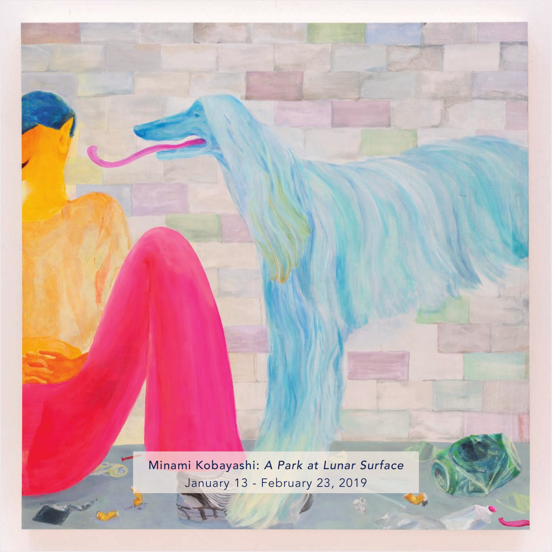Minami Kobayashi: *A Park at Lunar Surface* Minami Kobayashi: *A Park at Lunar Surface* January 13 - February 23, 2019 Minami Kobayashi: January 13 - February 23, 2019 *A Park at Lunar Surface*  $\frac{1}{2}$  - February 23, 2019 Minami Kobayashi: *A Park at Lunar Surface* Minami Kobayashi: *A Park at Lunar Surface* January 13 - February 23, 2019

det.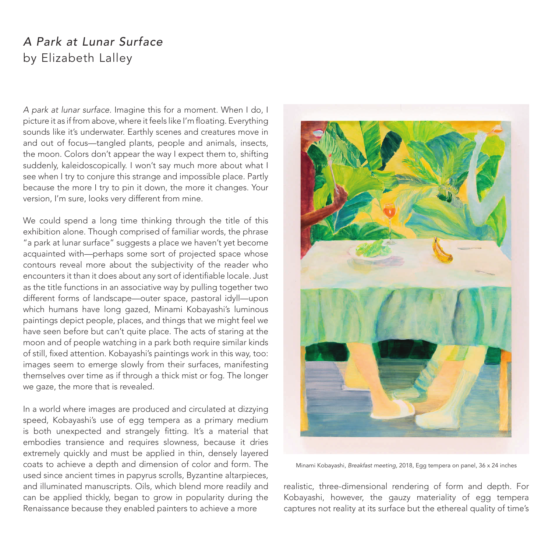## *A Park at Lunar Surface* by Elizabeth Lalley

*A park at lunar surface*. Imagine this for a moment. When I do, I picture it as if from above, where it feels like I'm floating. Everything sounds like it's underwater. Earthly scenes and creatures move in and out of focus—tangled plants, people and animals, insects, the moon. Colors don't appear the way I expect them to, shifting suddenly, kaleidoscopically. I won't say much more about what I see when I try to conjure this strange and impossible place. Partly because the more I try to pin it down, the more it changes. Your version, I'm sure, looks very different from mine.

We could spend a long time thinking through the title of this exhibition alone. Though comprised of familiar words, the phrase "a park at lunar surface" suggests a place we haven't yet become acquainted with—perhaps some sort of projected space whose contours reveal more about the subjectivity of the reader who encounters it than it does about any sort of identifiable locale. Just as the title functions in an associative way by pulling together two different forms of landscape—outer space, pastoral idyll—upon which humans have long gazed, Minami Kobayashi's luminous paintings depict people, places, and things that we might feel we have seen before but can't quite place. The acts of staring at the moon and of people watching in a park both require similar kinds of still, fixed attention. Kobayashi's paintings work in this way, too: images seem to emerge slowly from their surfaces, manifesting themselves over time as if through a thick mist or fog. The longer we gaze, the more that is revealed.

In a world where images are produced and circulated at dizzying speed, Kobayashi's use of egg tempera as a primary medium is both unexpected and strangely fitting. It's a material that embodies transience and requires slowness, because it dries extremely quickly and must be applied in thin, densely layered coats to achieve a depth and dimension of color and form. The used since ancient times in papyrus scrolls, Byzantine altarpieces, and illuminated manuscripts. Oils, which blend more readily and can be applied thickly, began to grow in popularity during the Renaissance because they enabled painters to achieve a more



Minami Kobayashi, *Breakfast meeting*, 2018, Egg tempera on panel, 36 x 24 inches

realistic, three-dimensional rendering of form and depth. For Kobayashi, however, the gauzy materiality of egg tempera captures not reality at its surface but the ethereal quality of time's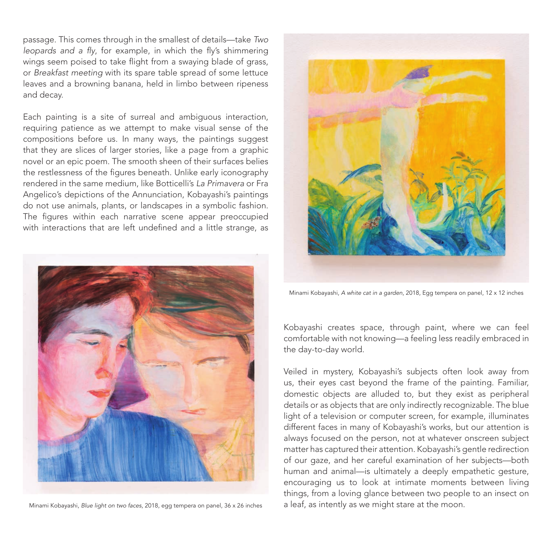passage. This comes through in the smallest of details—take *Two*  leopards and a fly, for example, in which the fly's shimmering wings seem poised to take flight from a swaying blade of grass, or *Breakfast meeting* with its spare table spread of some lettuce leaves and a browning banana, held in limbo between ripeness and decay.

Each painting is a site of surreal and ambiguous interaction, requiring patience as we attempt to make visual sense of the compositions before us. In many ways, the paintings suggest that they are slices of larger stories, like a page from a graphic novel or an epic poem. The smooth sheen of their surfaces belies the restlessness of the figures beneath. Unlike early iconography rendered in the same medium, like Botticelli's *La Primavera* or Fra Angelico's depictions of the Annunciation, Kobayashi's paintings do not use animals, plants, or landscapes in a symbolic fashion. The figures within each narrative scene appear preoccupied with interactions that are left undefined and a little strange, as





Minami Kobayashi, *A white cat in a garden*, 2018, Egg tempera on panel, 12 x 12 inches

Kobayashi creates space, through paint, where we can feel comfortable with not knowing—a feeling less readily embraced in the day-to-day world.

Veiled in mystery, Kobayashi's subjects often look away from us, their eyes cast beyond the frame of the painting. Familiar, domestic objects are alluded to, but they exist as peripheral details or as objects that are only indirectly recognizable. The blue light of a television or computer screen, for example, illuminates different faces in many of Kobayashi's works, but our attention is always focused on the person, not at whatever onscreen subject matter has captured their attention. Kobayashi's gentle redirection of our gaze, and her careful examination of her subjects—both human and animal—is ultimately a deeply empathetic gesture, encouraging us to look at intimate moments between living things, from a loving glance between two people to an insect on Minami Kobayashi, *Blue light on two faces*, 2018, egg tempera on panel, 36 x 26 inches a leaf, as intently as we might stare at the moon.